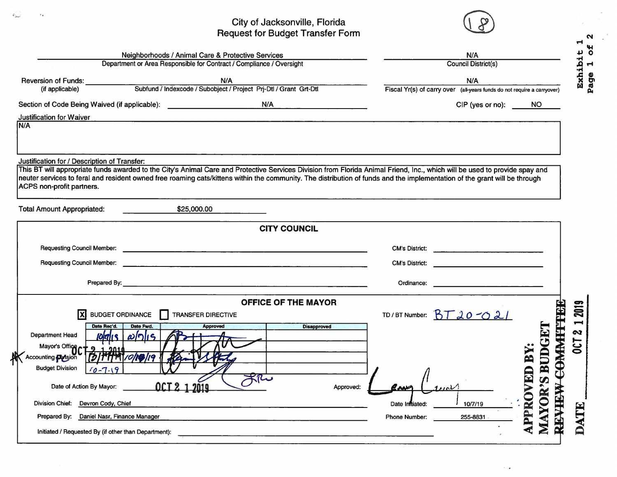## City of Jacksonville, Florida<br>Request for Budget Transfer Form

 $\epsilon_{\rm acc}$ 

 $\mathbf{r}_\mathbf{a}$ 



 $\sim$   $\bullet$ 

 $\sim$  $\blacktriangleleft$ 

| Neighborhoods / Animal Care & Protective Services                                           |                                                                                                                                                                                                                                      | N/A<br><b>Council District(s)</b> |                                                                                |                               |  |  |
|---------------------------------------------------------------------------------------------|--------------------------------------------------------------------------------------------------------------------------------------------------------------------------------------------------------------------------------------|-----------------------------------|--------------------------------------------------------------------------------|-------------------------------|--|--|
|                                                                                             | Department or Area Responsible for Contract / Compliance / Oversight                                                                                                                                                                 |                                   |                                                                                |                               |  |  |
|                                                                                             |                                                                                                                                                                                                                                      |                                   | N/A<br>Fiscal Yr(s) of carry over (all-years funds do not require a carryover) | Exhibit                       |  |  |
| Section of Code Being Waived (if applicable): __________________________________            | N/A                                                                                                                                                                                                                                  |                                   | CIP (yes or no):                                                               | NO.                           |  |  |
| Justification for Waiver<br>N/A                                                             |                                                                                                                                                                                                                                      |                                   |                                                                                |                               |  |  |
| Justification for / Description of Transfer:                                                | This BT will appropriate funds awarded to the City's Animal Care and Protective Services Division from Florida Animal Friend, Inc., which will be used to provide spay and                                                           |                                   |                                                                                |                               |  |  |
| ACPS non-profit partners.                                                                   | neuter services to feral and resident owned free roaming cats/kittens within the community. The distribution of funds and the implementation of the grant will be through                                                            |                                   |                                                                                |                               |  |  |
| <b>Total Amount Appropriated:</b>                                                           | \$25,000.00                                                                                                                                                                                                                          |                                   |                                                                                |                               |  |  |
|                                                                                             | <b>CITY COUNCIL</b>                                                                                                                                                                                                                  |                                   |                                                                                |                               |  |  |
|                                                                                             |                                                                                                                                                                                                                                      |                                   | CM's District:                                                                 |                               |  |  |
| <b>Requesting Council Member:</b>                                                           |                                                                                                                                                                                                                                      | <b>CM's District:</b>             | <u> 1980 - Johann Stein, mars an t-Amerikaansk kommunister (</u>               |                               |  |  |
|                                                                                             | Prepared By: <u>Contract Communications of the Communications of the Communications of the Communications of the Communications of the Communications of the Communications of the Communications of the Communications of the C</u> | Ordinance:                        |                                                                                |                               |  |  |
|                                                                                             | <b>OFFICE OF THE MAYOR</b>                                                                                                                                                                                                           |                                   |                                                                                |                               |  |  |
| ΙxΙ<br><b>BUDGET ORDINANCE</b>                                                              | TRANSFER DIRECTIVE                                                                                                                                                                                                                   |                                   | TD/BT Number: $BT20-021$                                                       | 2019                          |  |  |
| Date Rec'd.<br>Date Fwd.<br>$10$ lalıs<br>Department Head<br>$\omega$ [n]<br>$\overline{S}$ | <b>Disapproved</b><br><b>Approved</b>                                                                                                                                                                                                |                                   |                                                                                | N                             |  |  |
| Mayor's Office                                                                              |                                                                                                                                                                                                                                      |                                   |                                                                                | <b>CAMARH</b><br><b>DCT</b>   |  |  |
| Accounting <b>Plasion</b><br><b>Budget Division</b><br>$10 - 7.19$                          |                                                                                                                                                                                                                                      |                                   |                                                                                | ED BY                         |  |  |
| Date of Action By Mayor:                                                                    | OCT 2 1 2019<br>Approved:                                                                                                                                                                                                            |                                   |                                                                                | <b>AYOR'S BUDG</b>            |  |  |
| <b>Division Chief:</b><br>Devron Cody, Chief                                                |                                                                                                                                                                                                                                      | Date Infliated:                   | 10/7/19                                                                        | PPROV<br><b>REPARE</b><br>HIL |  |  |
| Prepared By:<br>Daniel Nasr, Finance Manager                                                |                                                                                                                                                                                                                                      | <b>Phone Number:</b>              | 255-8831                                                                       |                               |  |  |
| Initiated / Requested By (if other than Department):                                        |                                                                                                                                                                                                                                      |                                   |                                                                                |                               |  |  |